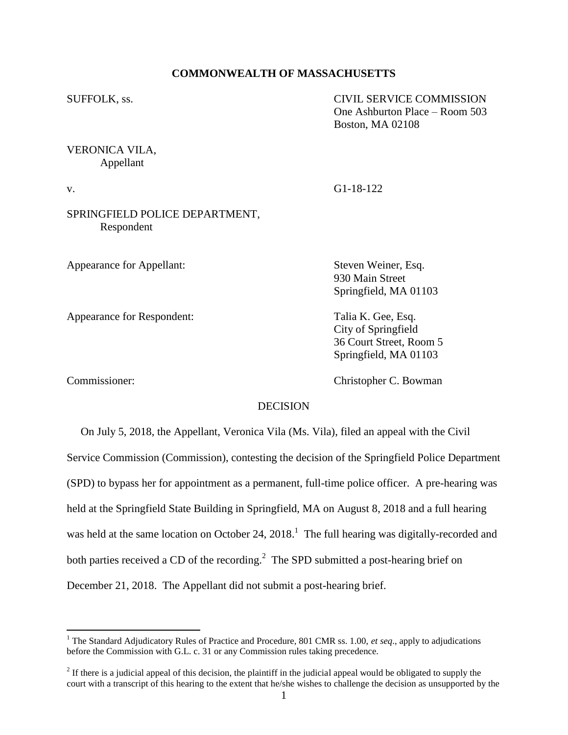### **COMMONWEALTH OF MASSACHUSETTS**

SUFFOLK, ss. CIVIL SERVICE COMMISSION One Ashburton Place – Room 503 Boston, MA 02108

### VERONICA VILA, Appellant

v. G1-18-122

# SPRINGFIELD POLICE DEPARTMENT, Respondent

Appearance for Appellant: Steven Weiner, Esq.

Appearance for Respondent: Talia K. Gee, Esq.

 $\overline{a}$ 

930 Main Street Springfield, MA 01103

City of Springfield 36 Court Street, Room 5 Springfield, MA 01103

Commissioner: Christopher C. Bowman

### DECISION

 On July 5, 2018, the Appellant, Veronica Vila (Ms. Vila), filed an appeal with the Civil Service Commission (Commission), contesting the decision of the Springfield Police Department (SPD) to bypass her for appointment as a permanent, full-time police officer. A pre-hearing was held at the Springfield State Building in Springfield, MA on August 8, 2018 and a full hearing was held at the same location on October 24, 2018.<sup>1</sup> The full hearing was digitally-recorded and both parties received a CD of the recording.<sup>2</sup> The SPD submitted a post-hearing brief on December 21, 2018. The Appellant did not submit a post-hearing brief.

<sup>1</sup> The Standard Adjudicatory Rules of Practice and Procedure, 801 CMR ss. 1.00, *et seq*., apply to adjudications before the Commission with G.L. c. 31 or any Commission rules taking precedence.

 $2<sup>2</sup>$  If there is a judicial appeal of this decision, the plaintiff in the judicial appeal would be obligated to supply the court with a transcript of this hearing to the extent that he/she wishes to challenge the decision as unsupported by the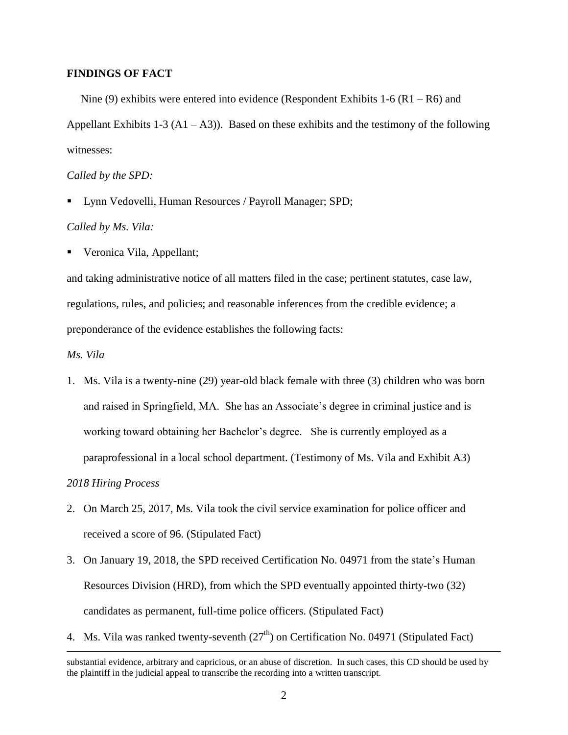### **FINDINGS OF FACT**

Nine (9) exhibits were entered into evidence (Respondent Exhibits  $1-6(R1 - R6)$  and Appellant Exhibits 1-3 ( $A1 - A3$ )). Based on these exhibits and the testimony of the following witnesses:

## *Called by the SPD:*

■ Lynn Vedovelli, Human Resources / Payroll Manager; SPD;

## *Called by Ms. Vila:*

Veronica Vila, Appellant;

and taking administrative notice of all matters filed in the case; pertinent statutes, case law, regulations, rules, and policies; and reasonable inferences from the credible evidence; a preponderance of the evidence establishes the following facts:

*Ms. Vila*

 $\overline{a}$ 

1. Ms. Vila is a twenty-nine (29) year-old black female with three (3) children who was born and raised in Springfield, MA. She has an Associate's degree in criminal justice and is working toward obtaining her Bachelor's degree. She is currently employed as a paraprofessional in a local school department. (Testimony of Ms. Vila and Exhibit A3)

### *2018 Hiring Process*

- 2. On March 25, 2017, Ms. Vila took the civil service examination for police officer and received a score of 96. (Stipulated Fact)
- 3. On January 19, 2018, the SPD received Certification No. 04971 from the state's Human Resources Division (HRD), from which the SPD eventually appointed thirty-two (32) candidates as permanent, full-time police officers. (Stipulated Fact)
- 4. Ms. Vila was ranked twenty-seventh  $(27<sup>th</sup>)$  on Certification No. 04971 (Stipulated Fact)

substantial evidence, arbitrary and capricious, or an abuse of discretion. In such cases, this CD should be used by the plaintiff in the judicial appeal to transcribe the recording into a written transcript.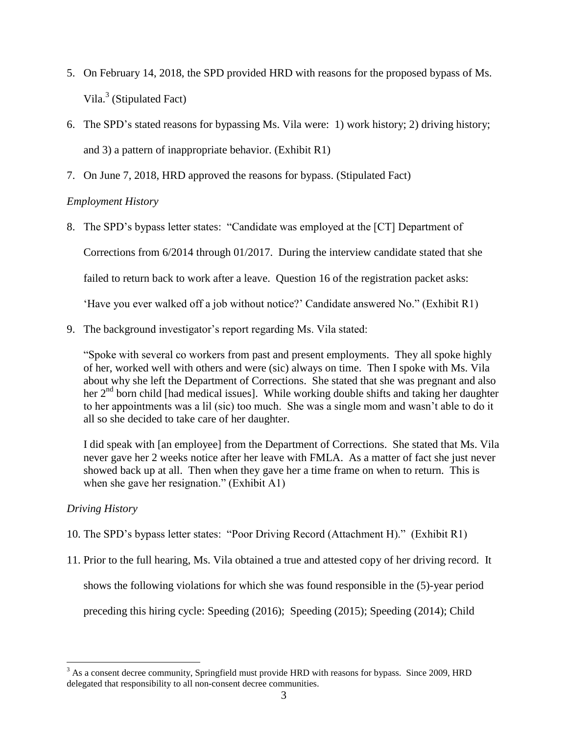- 5. On February 14, 2018, the SPD provided HRD with reasons for the proposed bypass of Ms. Vila.<sup>3</sup> (Stipulated Fact)
- 6. The SPD's stated reasons for bypassing Ms. Vila were: 1) work history; 2) driving history; and 3) a pattern of inappropriate behavior. (Exhibit R1)
- 7. On June 7, 2018, HRD approved the reasons for bypass. (Stipulated Fact)

# *Employment History*

- 8. The SPD's bypass letter states: "Candidate was employed at the [CT] Department of Corrections from 6/2014 through 01/2017. During the interview candidate stated that she failed to return back to work after a leave. Question 16 of the registration packet asks: 'Have you ever walked off a job without notice?' Candidate answered No." (Exhibit R1)
- 9. The background investigator's report regarding Ms. Vila stated:

"Spoke with several co workers from past and present employments. They all spoke highly of her, worked well with others and were (sic) always on time. Then I spoke with Ms. Vila about why she left the Department of Corrections. She stated that she was pregnant and also her  $2<sup>nd</sup>$  born child [had medical issues]. While working double shifts and taking her daughter to her appointments was a lil (sic) too much. She was a single mom and wasn't able to do it all so she decided to take care of her daughter.

I did speak with [an employee] from the Department of Corrections. She stated that Ms. Vila never gave her 2 weeks notice after her leave with FMLA. As a matter of fact she just never showed back up at all. Then when they gave her a time frame on when to return. This is when she gave her resignation." (Exhibit A1)

# *Driving History*

- 10. The SPD's bypass letter states: "Poor Driving Record (Attachment H)." (Exhibit R1)
- 11. Prior to the full hearing, Ms. Vila obtained a true and attested copy of her driving record. It shows the following violations for which she was found responsible in the (5)-year period preceding this hiring cycle: Speeding (2016); Speeding (2015); Speeding (2014); Child

 $\overline{a}$  $3$  As a consent decree community, Springfield must provide HRD with reasons for bypass. Since 2009, HRD delegated that responsibility to all non-consent decree communities.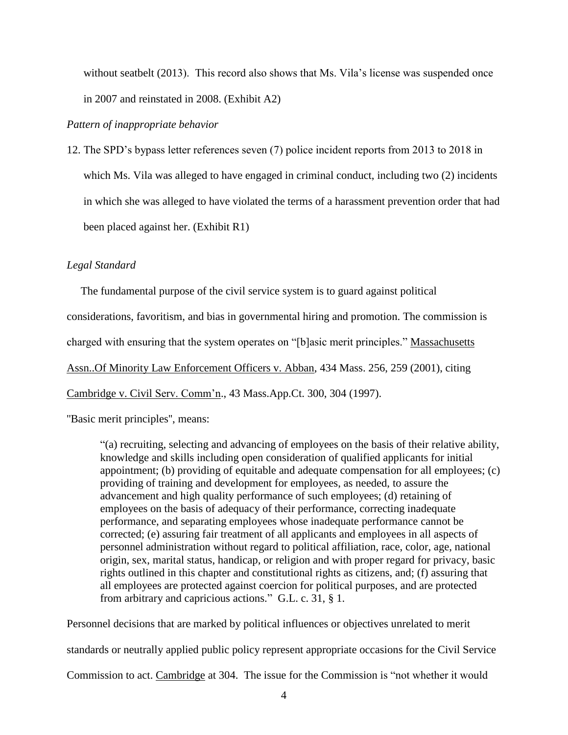without seatbelt (2013). This record also shows that Ms. Vila's license was suspended once in 2007 and reinstated in 2008. (Exhibit A2)

## *Pattern of inappropriate behavior*

12. The SPD's bypass letter references seven (7) police incident reports from 2013 to 2018 in which Ms. Vila was alleged to have engaged in criminal conduct, including two (2) incidents in which she was alleged to have violated the terms of a harassment prevention order that had been placed against her. (Exhibit R1)

# *Legal Standard*

 The fundamental purpose of the civil service system is to guard against political considerations, favoritism, and bias in governmental hiring and promotion. The commission is charged with ensuring that the system operates on "[b]asic merit principles." Massachusetts Assn..Of Minority Law Enforcement Officers v. Abban, 434 Mass. 256, 259 (2001), citing Cambridge v. Civil Serv. Comm'n., 43 Mass.App.Ct. 300, 304 (1997).

''Basic merit principles'', means:

"(a) recruiting, selecting and advancing of employees on the basis of their relative ability, knowledge and skills including open consideration of qualified applicants for initial appointment; (b) providing of equitable and adequate compensation for all employees; (c) providing of training and development for employees, as needed, to assure the advancement and high quality performance of such employees; (d) retaining of employees on the basis of adequacy of their performance, correcting inadequate performance, and separating employees whose inadequate performance cannot be corrected; (e) assuring fair treatment of all applicants and employees in all aspects of personnel administration without regard to political affiliation, race, color, age, national origin, sex, marital status, handicap, or religion and with proper regard for privacy, basic rights outlined in this chapter and constitutional rights as citizens, and; (f) assuring that all employees are protected against coercion for political purposes, and are protected from arbitrary and capricious actions." G.L. c. 31, § 1.

Personnel decisions that are marked by political influences or objectives unrelated to merit standards or neutrally applied public policy represent appropriate occasions for the Civil Service Commission to act. Cambridge at 304. The issue for the Commission is "not whether it would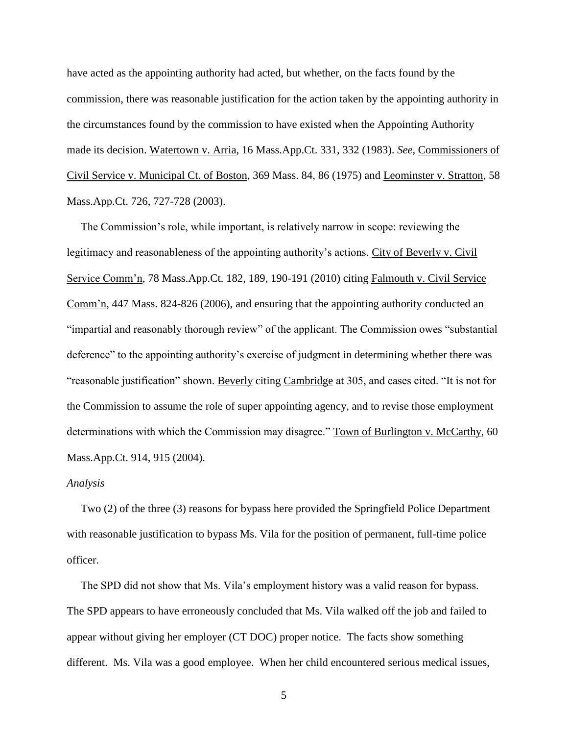have acted as the appointing authority had acted, but whether, on the facts found by the commission, there was reasonable justification for the action taken by the appointing authority in the circumstances found by the commission to have existed when the Appointing Authority made its decision. Watertown v. Arria, 16 Mass.App.Ct. 331, 332 (1983). *See*, Commissioners of Civil Service v. Municipal Ct. of Boston, 369 Mass. 84, 86 (1975) and Leominster v. Stratton, 58 Mass.App.Ct. 726, 727-728 (2003).

 The Commission's role, while important, is relatively narrow in scope: reviewing the legitimacy and reasonableness of the appointing authority's actions. City of Beverly v. Civil Service Comm'n, 78 Mass.App.Ct. 182, 189, 190-191 (2010) citing Falmouth v. Civil Service Comm'n, 447 Mass. 824-826 (2006), and ensuring that the appointing authority conducted an "impartial and reasonably thorough review" of the applicant. The Commission owes "substantial deference" to the appointing authority's exercise of judgment in determining whether there was "reasonable justification" shown. Beverly citing Cambridge at 305, and cases cited. "It is not for the Commission to assume the role of super appointing agency, and to revise those employment determinations with which the Commission may disagree." Town of Burlington v. McCarthy, 60 Mass.App.Ct. 914, 915 (2004).

#### *Analysis*

 Two (2) of the three (3) reasons for bypass here provided the Springfield Police Department with reasonable justification to bypass Ms. Vila for the position of permanent, full-time police officer.

 The SPD did not show that Ms. Vila's employment history was a valid reason for bypass. The SPD appears to have erroneously concluded that Ms. Vila walked off the job and failed to appear without giving her employer (CT DOC) proper notice. The facts show something different. Ms. Vila was a good employee. When her child encountered serious medical issues,

5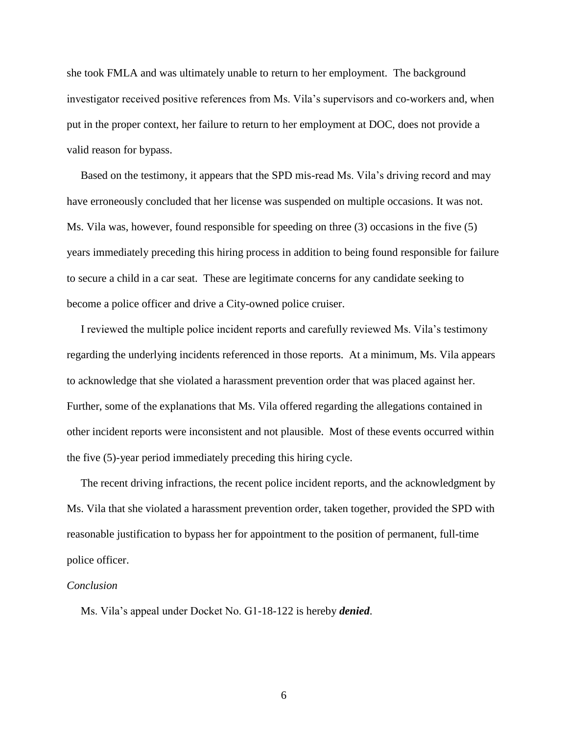she took FMLA and was ultimately unable to return to her employment. The background investigator received positive references from Ms. Vila's supervisors and co-workers and, when put in the proper context, her failure to return to her employment at DOC, does not provide a valid reason for bypass.

 Based on the testimony, it appears that the SPD mis-read Ms. Vila's driving record and may have erroneously concluded that her license was suspended on multiple occasions. It was not. Ms. Vila was, however, found responsible for speeding on three (3) occasions in the five (5) years immediately preceding this hiring process in addition to being found responsible for failure to secure a child in a car seat. These are legitimate concerns for any candidate seeking to become a police officer and drive a City-owned police cruiser.

 I reviewed the multiple police incident reports and carefully reviewed Ms. Vila's testimony regarding the underlying incidents referenced in those reports. At a minimum, Ms. Vila appears to acknowledge that she violated a harassment prevention order that was placed against her. Further, some of the explanations that Ms. Vila offered regarding the allegations contained in other incident reports were inconsistent and not plausible. Most of these events occurred within the five (5)-year period immediately preceding this hiring cycle.

 The recent driving infractions, the recent police incident reports, and the acknowledgment by Ms. Vila that she violated a harassment prevention order, taken together, provided the SPD with reasonable justification to bypass her for appointment to the position of permanent, full-time police officer.

#### *Conclusion*

Ms. Vila's appeal under Docket No. G1-18-122 is hereby *denied*.